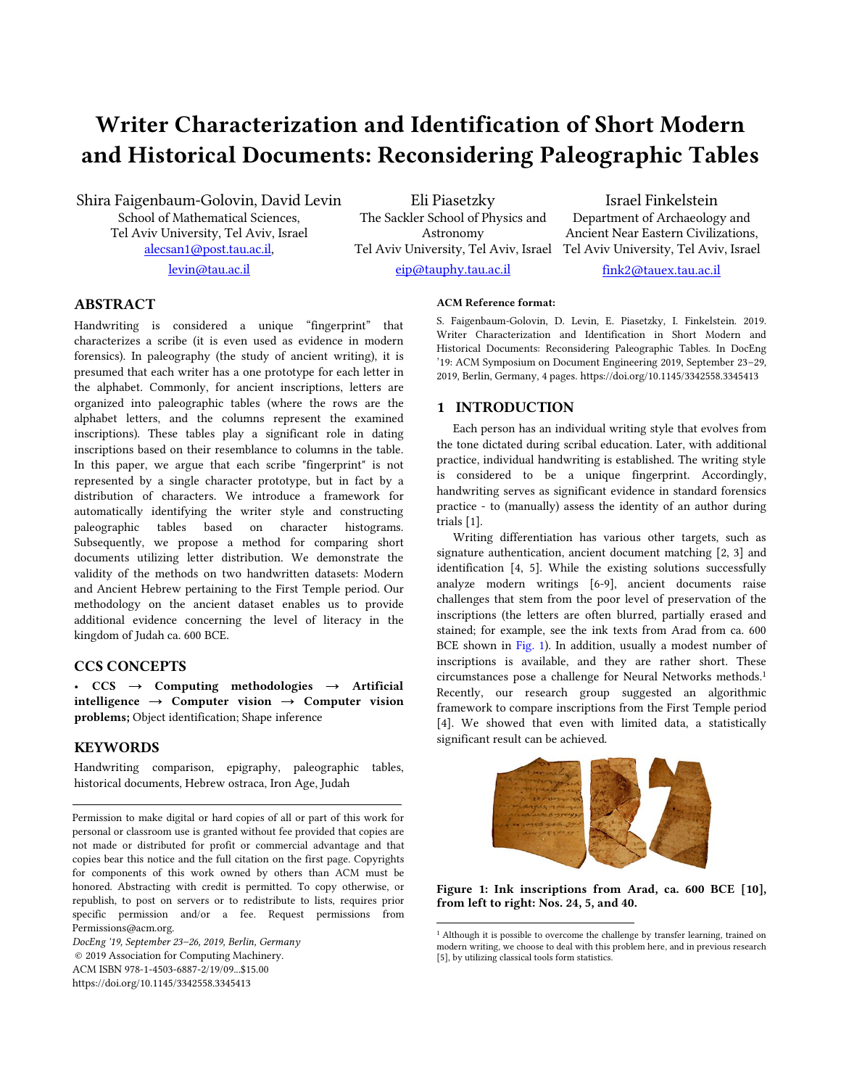# Writer Characterization and Identification of Short Modern and Historical Documents: Reconsidering Paleographic Tables

Shira Faigenbaum-Golovin, David Levin School of Mathematical Sciences, Tel Aviv University, Tel Aviv, Israel [alecsan1@post.tau.ac.il,](mailto:alecsan1@post.tau.ac.il) [levin@tau.ac.il](mailto:levin@tau.ac.il)

Eli Piasetzky The Sackler School of Physics and Astronomy Tel Aviv University, Tel Aviv, Israel Tel Aviv University, Tel Aviv, Israel [eip@tauphy.tau.ac.il](mailto:eip@tauphy.tau.ac.il)

Israel Finkelstein Department of Archaeology and Ancient Near Eastern Civilizations,

[fink2@tauex.tau.ac.il](mailto:fink2@tauex.tau.ac.il)

# ABSTRACT

Handwriting is considered a unique "fingerprint" that characterizes a scribe (it is even used as evidence in modern forensics). In paleography (the study of ancient writing), it is presumed that each writer has a one prototype for each letter in the alphabet. Commonly, for ancient inscriptions, letters are organized into paleographic tables (where the rows are the alphabet letters, and the columns represent the examined inscriptions). These tables play a significant role in dating inscriptions based on their resemblance to columns in the table. In this paper, we argue that each scribe "fingerprint" is not represented by a single character prototype, but in fact by a distribution of characters. We introduce a framework for automatically identifying the writer style and constructing paleographic tables based on character histograms. Subsequently, we propose a method for comparing short documents utilizing letter distribution. We demonstrate the validity of the methods on two handwritten datasets: Modern and Ancient Hebrew pertaining to the First Temple period. Our methodology on the ancient dataset enables us to provide additional evidence concerning the level of literacy in the kingdom of Judah ca. 600 BCE.

# CCS CONCEPTS

•  $CCS \rightarrow$  Computing methodologies  $\rightarrow$  Artificial intelligence  $\rightarrow$  Computer vision  $\rightarrow$  Computer vision problems; Object identification; Shape inference

## **KEYWORDS**

Handwriting comparison, epigraphy, paleographic tables, historical documents, Hebrew ostraca, Iron Age, Judah

Permission to make digital or hard copies of all or part of this work for personal or classroom use is granted without fee provided that copies are not made or distributed for profit or commercial advantage and that copies bear this notice and the full citation on the first page. Copyrights for components of this work owned by others than ACM must be honored. Abstracting with credit is permitted. To copy otherwise, or republish, to post on servers or to redistribute to lists, requires prior specific permission and/or a fee. Request permissions from Permissions@acm.org.

*DocEng '19, September 23–26, 2019, Berlin, Germany* © 2019 Association for Computing Machinery. ACM ISBN 978-1-4503-6887-2/19/09...\$15.00 https://doi.org/10.1145/3342558.3345413

#### ACM Reference format:

S. Faigenbaum-Golovin, D. Levin, E. Piasetzky, I. Finkelstein. 2019. Writer Characterization and Identification in Short Modern and Historical Documents: Reconsidering Paleographic Tables. In DocEng '19: ACM Symposium on Document Engineering 2019, September 23–29, 2019, Berlin, Germany, 4 pages. https://doi.org/10.1145/3342558.3345413

## 1 INTRODUCTION

Each person has an individual writing style that evolves from the tone dictated during scribal education. Later, with additional practice, individual handwriting is established. The writing style is considered to be a unique fingerprint. Accordingly, handwriting serves as significant evidence in standard forensics practice - to (manually) assess the identity of an author during trials [1].

Writing differentiation has various other targets, such as signature authentication, ancient document matching [2, 3] and identification [4, 5]. While the existing solutions successfully analyze modern writings [6-9], ancient documents raise challenges that stem from the poor level of preservation of the inscriptions (the letters are often blurred, partially erased and stained; for example, see the ink texts from Arad from ca. 600 BCE shown in Fig. 1). In addition, usually a modest number of inscriptions is available, and they are rather short. These circumstances pose a challenge for Neural Networks methods. 1 Recently, our research group suggested an algorithmic framework to compare inscriptions from the First Temple period [4]. We showed that even with limited data, a statistically significant result can be achieved.



Figure 1: Ink inscriptions from Arad, ca. 600 BCE [10], from left to right: Nos. 24, 5, and 40.

<sup>&</sup>lt;sup>1</sup> Although it is possible to overcome the challenge by transfer learning, trained on modern writing, we choose to deal with this problem here, and in previous research [5], by utilizing classical tools form statistics.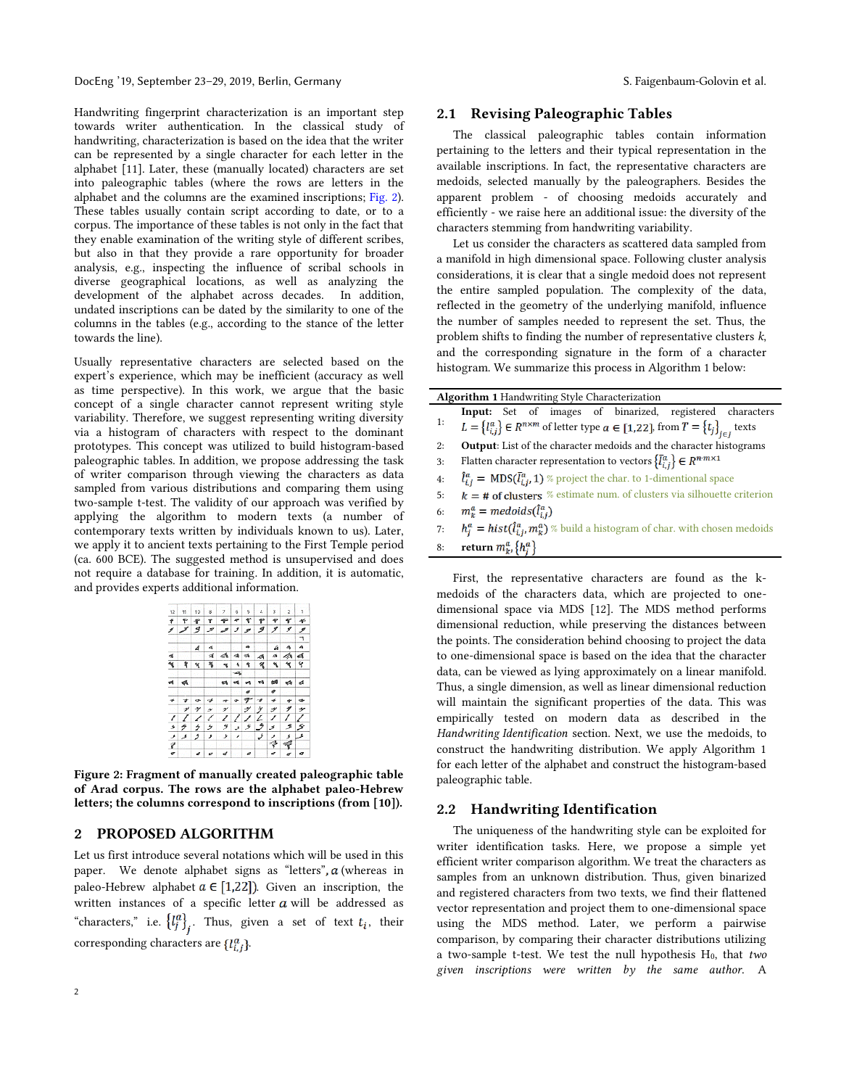Handwriting fingerprint characterization is an important step towards writer authentication. In the classical study of handwriting, characterization is based on the idea that the writer can be represented by a single character for each letter in the alphabet [11]. Later, these (manually located) characters are set into paleographic tables (where the rows are letters in the alphabet and the columns are the examined inscriptions; Fig. 2). These tables usually contain script according to date, or to a corpus. The importance of these tables is not only in the fact that they enable examination of the writing style of different scribes, but also in that they provide a rare opportunity for broader analysis, e.g., inspecting the influence of scribal schools in diverse geographical locations, as well as analyzing the development of the alphabet across decades. In addition, undated inscriptions can be dated by the similarity to one of the columns in the tables (e.g., according to the stance of the letter towards the line).

Usually representative characters are selected based on the expert's experience, which may be inefficient (accuracy as well as time perspective). In this work, we argue that the basic concept of a single character cannot represent writing style variability. Therefore, we suggest representing writing diversity via a histogram of characters with respect to the dominant prototypes. This concept was utilized to build histogram-based paleographic tables. In addition, we propose addressing the task of writer comparison through viewing the characters as data sampled from various distributions and comparing them using two-sample t-test. The validity of our approach was verified by applying the algorithm to modern texts (a number of contemporary texts written by individuals known to us). Later, we apply it to ancient texts pertaining to the First Temple period (ca. 600 BCE). The suggested method is unsupervised and does not require a database for training. In addition, it is automatic, and provides experts additional information.

| 12  | 11                       | 10           | 8             | 7  | 6        | 5         | 4  | 3      | 2  | ٦                        |
|-----|--------------------------|--------------|---------------|----|----------|-----------|----|--------|----|--------------------------|
| ŧ   | ۴                        | ኆ            | т             | ↞  | ٠        | ť         | F  | ٠      | ۲  | ÷                        |
| ℐ   | ↗                        | -9           | ℐ             | مر | ر        | s         | 9  | ッ      | 9  | $\overline{\mathscr{I}}$ |
|     |                          |              |               |    |          |           |    |        |    | ┑                        |
|     |                          | Δ            | 4             |    |          | ä         |    | 4      | 4  | A                        |
| ď   |                          |              | s             | ∢  | 桶        | ø         | Á  | A      | ぁ  | ₫                        |
| ٩   | ۹                        | 4            | ¥             | ٠  | ۸        | ۹         | 气  | ٦      | ٦  | ۲                        |
|     |                          |              |               |    | -az,     |           |    |        |    |                          |
| v4. | $\blacktriangleleft$     |              |               | w  |          | <b>AR</b> | ٣M | 68     | ۴ħ | đ                        |
|     |                          |              |               |    |          | đ         |    | o      |    |                          |
| ÷   | ₹                        | ÷            | 4             | ÷  | ÷        | 尹         | -4 | $\ast$ | ÷  |                          |
|     | ッ                        | $\mathcal Y$ | $\mathcal{P}$ | ッ  |          | ッ         | y  | ッ      | ッ  | ≁                        |
| Z   | $\overline{\phantom{a}}$ | ╭            | ╱             | ∕  |          | ノ         | Z  | ╯      |    |                          |
| ۶   | n                        | 5            | ゥ             | 3  | ی        | ۶         | Ź  | ی      | ≠  | s                        |
| ی   | ر                        | 2            | ٠,            | ٠  | $\prime$ |           | ى  | ۶      | ۶  | $\mathbf{r}$             |
| ₹   |                          |              |               |    |          |           |    | ş      |    |                          |
| σ   |                          | s            | o             | d  |          | ø         |    | a      | s  | o                        |

Figure 2: Fragment of manually created paleographic table of Arad corpus. The rows are the alphabet paleo-Hebrew letters; the columns correspond to inscriptions (from [10]).

#### 2 PROPOSED ALGORITHM

Let us first introduce several notations which will be used in this paper. We denote alphabet signs as "letters",  $a$  (whereas in paleo-Hebrew alphabet  $a \in [1,22]$ ). Given an inscription, the written instances of a specific letter  $a$  will be addressed as "characters," i.e.  ${l_j^a}_{j_i}$ . Thus, given a set of text  $t_i$ , their corresponding characters are  $\{l_{i,j}^a\}$ .

# 2.1 Revising Paleographic Tables

The classical paleographic tables contain information pertaining to the letters and their typical representation in the available inscriptions. In fact, the representative characters are medoids, selected manually by the paleographers. Besides the apparent problem - of choosing medoids accurately and efficiently - we raise here an additional issue: the diversity of the characters stemming from handwriting variability.

Let us consider the characters as scattered data sampled from a manifold in high dimensional space. Following cluster analysis considerations, it is clear that a single medoid does not represent the entire sampled population. The complexity of the data, reflected in the geometry of the underlying manifold, influence the number of samples needed to represent the set. Thus, the problem shifts to finding the number of representative clusters *k*, and the corresponding signature in the form of a character histogram. We summarize this process in Algorithm 1 below:

| <b>Algorithm 1 Handwriting Style Characterization</b> |                                                                                                           |  |  |  |  |  |  |  |  |
|-------------------------------------------------------|-----------------------------------------------------------------------------------------------------------|--|--|--|--|--|--|--|--|
|                                                       | Input: Set of images of binarized, registered characters                                                  |  |  |  |  |  |  |  |  |
| 1:                                                    | $L = \{l_{i,j}^a\} \in R^{n \times m}$ of letter type $a \in [1,22]$ , from $T = \{t_j\}_{i \in I}$ texts |  |  |  |  |  |  |  |  |
| 2:                                                    | <b>Output:</b> List of the character medoids and the character histograms                                 |  |  |  |  |  |  |  |  |
| 3:                                                    | Flatten character representation to vectors $\{\bar{l}_{i,j}^a\} \in R^{n \cdot m \times 1}$              |  |  |  |  |  |  |  |  |
| 4:                                                    | $\hat{l}_{i,i}^a = \text{MDS}(\bar{l}_{i,i}^a, 1)$ % project the char. to 1-dimentional space             |  |  |  |  |  |  |  |  |
| 5:                                                    | $k = #$ of clusters % estimate num. of clusters via silhouette criterion                                  |  |  |  |  |  |  |  |  |
| 6:                                                    | $m_k^a =$ medoids $(\hat{l}_{i,j}^a)$                                                                     |  |  |  |  |  |  |  |  |
| 7:                                                    | $h_i^a = hist(\hat{l}_{i,i}^a, m_k^a)$ % build a histogram of char. with chosen medoids                   |  |  |  |  |  |  |  |  |
| 8:                                                    | return $m_k^a$ , $\{h_i^a\}$                                                                              |  |  |  |  |  |  |  |  |

First, the representative characters are found as the kmedoids of the characters data, which are projected to onedimensional space via MDS [12]. The MDS method performs dimensional reduction, while preserving the distances between the points. The consideration behind choosing to project the data to one-dimensional space is based on the idea that the character data, can be viewed as lying approximately on a linear manifold. Thus, a single dimension, as well as linear dimensional reduction will maintain the significant properties of the data. This was empirically tested on modern data as described in the *Handwriting Identification* section. Next, we use the medoids, to construct the handwriting distribution. We apply Algorithm 1 for each letter of the alphabet and construct the histogram-based paleographic table.

#### 2.2 Handwriting Identification

The uniqueness of the handwriting style can be exploited for writer identification tasks. Here, we propose a simple yet efficient writer comparison algorithm. We treat the characters as samples from an unknown distribution. Thus, given binarized and registered characters from two texts, we find their flattened vector representation and project them to one-dimensional space using the MDS method. Later, we perform a pairwise comparison, by comparing their character distributions utilizing a two-sample t-test. We test the null hypothesis H0, that *two given inscriptions were written by the same author*. A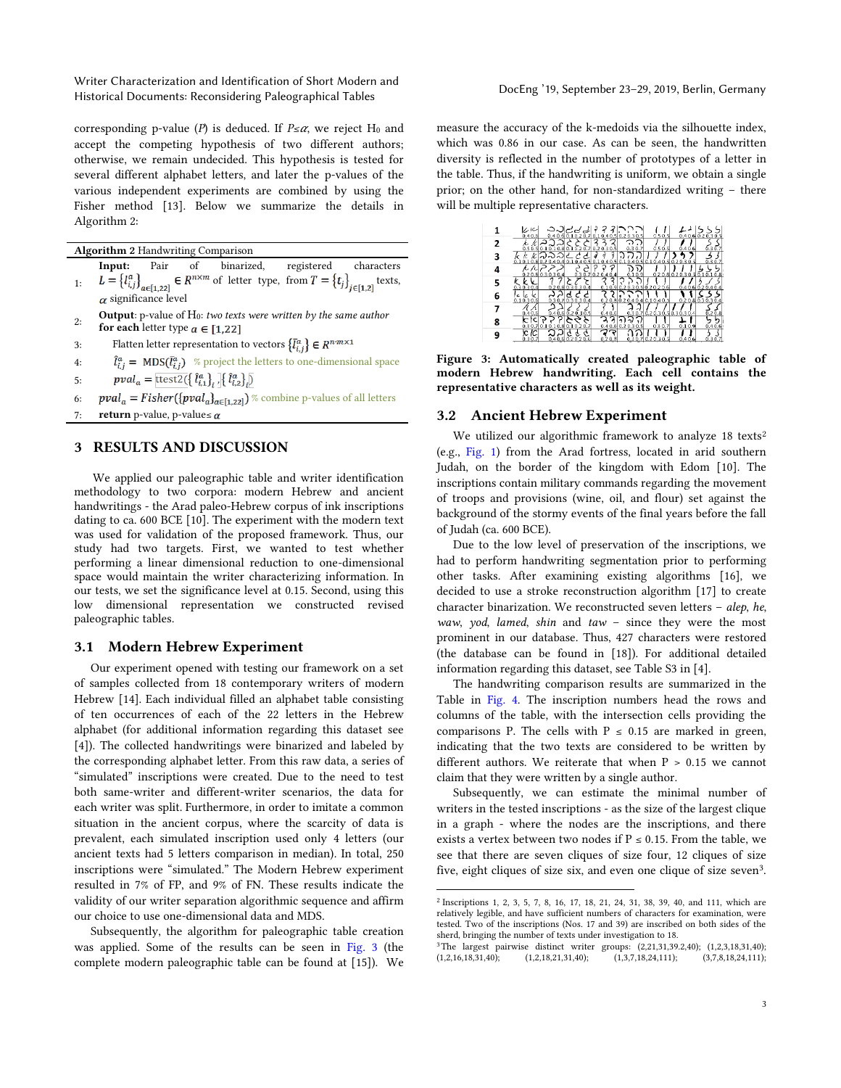Writer Characterization and Identification of Short Modern and Historical Documents: Reconsidering Paleographical Tables DocEng '19, September 23–29, 2019, Berlin, Germany

corresponding p-value (*P*) is deduced. If  $P \leq \alpha$ , we reject H<sub>0</sub> and accept the competing hypothesis of two different authors; otherwise, we remain undecided. This hypothesis is tested for several different alphabet letters, and later the p-values of the various independent experiments are combined by using the Fisher method [13]. Below we summarize the details in Algorithm 2:

Algorithm 2 Handwriting Comparison

- 1: Input: Pair of binarized, registered characters  $L = \{l_{i,j}^a\}_{a \in [1,22]} \in R^{n \times m}$  of letter type, from  $T = \{t_j\}_{j \in [1,2]}$  texts,  $\alpha$  significance level
- 2: **Output**: p-value of H<sub>0</sub>: *two texts were written by the same author* for each letter type  $a \in [1,22]$
- 3: Flatten letter representation to vectors  $\left\{ \bar{l}_{i,j}^{a}\right\} \in R^{n\cdot m\times 1}$
- 4:  $\hat{l}_{i,i}^a = \text{MDS}(\bar{l}_{i,i}^a)$  % project the letters to one-dimensional space

 $pval_a = \text{ttest2}(\{\hat{l}_{i,1}^a\}, \{\hat{l}_{i,2}^a\})$ 5:

- 6:  $pval_a = Fisher(\{pval_a\}_{a\in[1,22]})$  % combine p-values of all letters
- 7: **return** p-value, p-value≤  $\alpha$

# 3 RESULTS AND DISCUSSION

We applied our paleographic table and writer identification methodology to two corpora: modern Hebrew and ancient handwritings - the Arad paleo-Hebrew corpus of ink inscriptions dating to ca. 600 BCE [10]. The experiment with the modern text was used for validation of the proposed framework. Thus, our study had two targets. First, we wanted to test whether performing a linear dimensional reduction to one-dimensional space would maintain the writer characterizing information. In our tests, we set the significance level at 0.15. Second, using this low dimensional representation we constructed revised paleographic tables.

#### 3.1 Modern Hebrew Experiment

Our experiment opened with testing our framework on a set of samples collected from 18 contemporary writers of modern Hebrew [14]. Each individual filled an alphabet table consisting of ten occurrences of each of the 22 letters in the Hebrew alphabet (for additional information regarding this dataset see [4]). The collected handwritings were binarized and labeled by the corresponding alphabet letter. From this raw data, a series of "simulated" inscriptions were created. Due to the need to test both same-writer and different-writer scenarios, the data for each writer was split. Furthermore, in order to imitate a common situation in the ancient corpus, where the scarcity of data is prevalent, each simulated inscription used only 4 letters (our ancient texts had 5 letters comparison in median). In total, 250 inscriptions were "simulated." The Modern Hebrew experiment resulted in 7% of FP, and 9% of FN. These results indicate the validity of our writer separation algorithmic sequence and affirm our choice to use one-dimensional data and MDS.

Subsequently, the algorithm for paleographic table creation was applied. Some of the results can be seen in Fig. 3 (the complete modern paleographic table can be found at [15]). We

measure the accuracy of the k-medoids via the silhouette index, which was 0.86 in our case. As can be seen, the handwritten diversity is reflected in the number of prototypes of a letter in the table. Thus, if the handwriting is uniform, we obtain a single prior; on the other hand, for non-standardized writing – there will be multiple representative characters.

|   | レル<br>0.40.5 |                                                   | ಎನಿರರಚಿ              |                           | 0.40.6010.1020.7010.1040.5020.30.5 | 0.50.5                                                          |                           | 0.40.6020.30.5   |
|---|--------------|---------------------------------------------------|----------------------|---------------------------|------------------------------------|-----------------------------------------------------------------|---------------------------|------------------|
|   |              | ിി<br>0.5 0.5 0.1 0.1 0.8 0.1 0.2 0.7 0.2 0.3 0.5 | ↗                    | 2<br>2                    | 0.30.7                             | 0.50.5                                                          | 0.40.6                    | 0.30.7           |
| 3 |              |                                                   |                      | $\vec{q}$<br>ã            |                                    | 0.10.10.80.20.40.40.10.40.50.10.40.50.10.40.50.10.40.50.20.30.5 |                           | 0.30.7           |
|   | k /c.        | 0.20.80.30.3<br>0.4                               |                      | ာ<br>о<br>0.30.70.20.40.4 | G<br>v<br>0.9<br>0.1               |                                                                 | 0.20.800.20.30.50.10.10.8 |                  |
| 5 | 0.30.30.4    | 0.3                                               | 20.8030304           | 2<br>2<br>0.9             | в.                                 | 30.50.20.20.6                                                   |                           | 0.40.600.20.40.4 |
| 6 | 0.10.30.6    |                                                   | d<br>0.30.70.30.30.4 |                           |                                    | $0.8$ 0.2 0.4 0.4 0.1 0.4 0.5                                   |                           | 0.20.800.30.30.4 |
|   | 0.40.6       |                                                   | 0.40.600.200.30.5    | 0.40.6                    | 0.7                                | 0.2 0.3 0.5 0.3 0.3 0.4                                         |                           | 0.2 0.8          |
| 8 | 0.30.7       | 0.1 0.1 0.8 0.1 0.2 0.7                           |                      | 0.40.6                    | 0.2                                | 0.30.7                                                          | 0.10.9                    | ŋ<br>0.40.6      |
| q |              |                                                   | 0.610.2020.6         |                           |                                    | 0.20.3                                                          | 0.40.6                    |                  |
|   |              |                                                   |                      |                           |                                    |                                                                 |                           |                  |

Figure 3: Automatically created paleographic table of modern Hebrew handwriting. Each cell contains the representative characters as well as its weight.

#### 3.2 Ancient Hebrew Experiment

We utilized our algorithmic framework to analyze 18 texts<sup>2</sup> (e.g., Fig. 1) from the Arad fortress, located in arid southern Judah, on the border of the kingdom with Edom [10]. The inscriptions contain military commands regarding the movement of troops and provisions (wine, oil, and flour) set against the background of the stormy events of the final years before the fall of Judah (ca. 600 BCE).

Due to the low level of preservation of the inscriptions, we had to perform handwriting segmentation prior to performing other tasks. After examining existing algorithms [16], we decided to use a stroke reconstruction algorithm [17] to create character binarization. We reconstructed seven letters – *alep*, *he*, *waw*, *yod*, *lamed*, *shin* and *taw* – since they were the most prominent in our database. Thus, 427 characters were restored (the database can be found in [18]). For additional detailed information regarding this dataset, see Table S3 in [4].

The handwriting comparison results are summarized in the Table in Fig. 4. The inscription numbers head the rows and columns of the table, with the intersection cells providing the comparisons P. The cells with  $P \le 0.15$  are marked in green, indicating that the two texts are considered to be written by different authors. We reiterate that when  $P > 0.15$  we cannot claim that they were written by a single author.

Subsequently, we can estimate the minimal number of writers in the tested inscriptions - as the size of the largest clique in a graph - where the nodes are the inscriptions, and there exists a vertex between two nodes if  $P \le 0.15$ . From the table, we see that there are seven cliques of size four, 12 cliques of size five, eight cliques of size six, and even one clique of size seven<sup>3</sup>.

<sup>2</sup> Inscriptions 1, 2, 3, 5, 7, 8, 16, 17, 18, 21, 24, 31, 38, 39, 40, and 111, which are relatively legible, and have sufficient numbers of characters for examination, were tested. Two of the inscriptions (Nos. 17 and 39) are inscribed on both sides of the sherd, bringing the number of texts under investigation to 18.

<sup>&</sup>lt;sup>3</sup>The largest pairwise distinct writer groups: (2,21,31,39.2,40); (1,2,3,18,31,40); (1,2,16,18,31,40); (1,2,18,21,31,40); (1,3,7,18,24,111); (3,7,8,18,24,111);  $(1,2,18,21,31,40);$